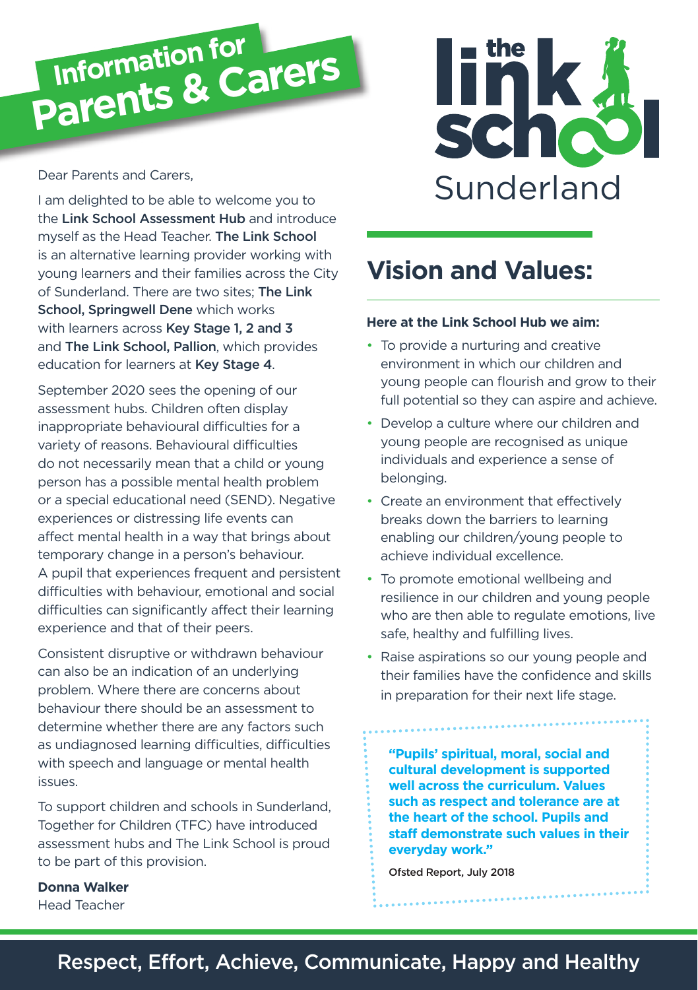

#### Dear Parents and Carers,

I am delighted to be able to welcome you to the Link School Assessment Hub and introduce myself as the Head Teacher. The Link School is an alternative learning provider working with young learners and their families across the City of Sunderland. There are two sites; The Link School, Springwell Dene which works with learners across Key Stage 1, 2 and 3 and The Link School, Pallion, which provides education for learners at Key Stage 4.

September 2020 sees the opening of our assessment hubs. Children often display inappropriate behavioural difficulties for a variety of reasons. Behavioural difficulties do not necessarily mean that a child or young person has a possible mental health problem or a special educational need (SEND). Negative experiences or distressing life events can affect mental health in a way that brings about temporary change in a person's behaviour. A pupil that experiences frequent and persistent difficulties with behaviour, emotional and social difficulties can significantly affect their learning experience and that of their peers.

Consistent disruptive or withdrawn behaviour can also be an indication of an underlying problem. Where there are concerns about behaviour there should be an assessment to determine whether there are any factors such as undiagnosed learning difficulties, difficulties with speech and language or mental health issues.

To support children and schools in Sunderland, Together for Children (TFC) have introduced assessment hubs and The Link School is proud to be part of this provision.

# schoo Sunderland

# **Vision and Values:**

#### **Here at the Link School Hub we aim:**

- To provide a nurturing and creative environment in which our children and young people can flourish and grow to their full potential so they can aspire and achieve.
- Develop a culture where our children and young people are recognised as unique individuals and experience a sense of belonging.
- Create an environment that effectively breaks down the barriers to learning enabling our children/young people to achieve individual excellence.
- To promote emotional wellbeing and resilience in our children and young people who are then able to regulate emotions, live safe, healthy and fulfilling lives.
- Raise aspirations so our young people and their families have the confidence and skills in preparation for their next life stage.

**"Pupils' spiritual, moral, social and cultural development is supported well across the curriculum. Values such as respect and tolerance are at the heart of the school. Pupils and staff demonstrate such values in their everyday work."**

Ofsted Report, July 2018

# **Donna Walker**

Head Teacher

# Respect, Effort, Achieve, Communicate, Happy and Healthy